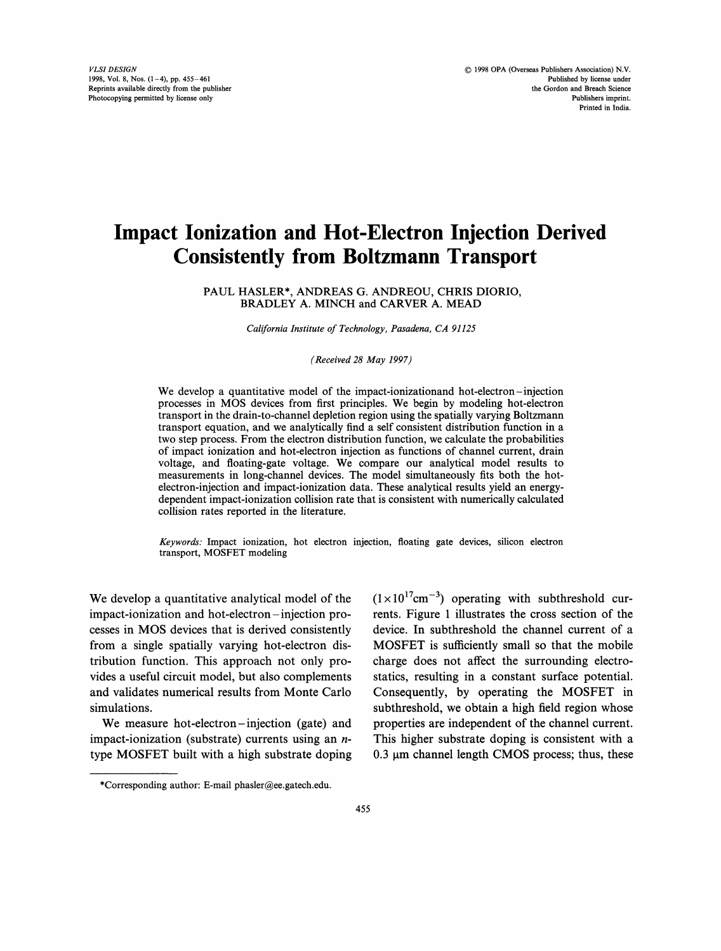# Impact Ionization and Hot-Electron Injection Derived Consistently from Boltzmann Transport

PAUL HASLER\*, ANDREAS G. ANDREOU, CHRIS DIORIO, BRADLEY A. MINCH and CARVER A. MEAD

California Institute of Technology, Pasadena, CA <sup>91125</sup>

(Received 28 May 1997)

We develop <sup>a</sup> quantitative model of the impact-ionizationand hot-electron-injection processes in MOS devices from first principles. We begin by modeling hot-electron transport in the drain-to-channel depletion region using the spatially varying Boltzmann transport equation, and we analytically find a self consistent distribution function in a two step process. From the electron distribution function, we calculate the probabilities of impact ionization and hot-electron injection as functions of channel current, drain voltage, and floating-gate voltage. We compare our analytical model results to measurements in long-channel devices. The model simultaneously fits both the hotelectron-injection and impact-ionization data. These analytical results yield an energydependent impact-ionization collision rate that is consistent with numerically calculated collision rates reported in the literature.

Keywords: Impact ionization, hot electron injection, floating gate devices, silicon electron transport, MOSFET modeling

We develop <sup>a</sup> quantitative analytical model of the impact-ionization and hot-electron-injection processes in MOS devices that is derived consistently from a single spatially varying hot-electron distribution function. This approach not only provides a useful circuit model, but also complements and validates numerical results from Monte Carlo simulations.

We measure hot-electron-injection (gate) and impact-ionization (substrate) currents using an ntype MOSFET built with <sup>a</sup> high substrate doping  $(1\times10^{17}cm^{-3})$  operating with subthreshold currents. Figure 1 illustrates the cross section of the device. In subthreshold the channel current of a MOSFET is sufficiently small so that the mobile charge does not affect the surrounding electrostatics, resulting in a constant surface potential. Consequently, by operating the MOSFET in subthreshold, we obtain a high field region whose properties are independent of the channel current. This higher substrate doping is consistent with a  $0.3 \mu$ m channel length CMOS process; thus, these

<sup>\*</sup>Corresponding author: E-mail phasler@ee.gatech.edu.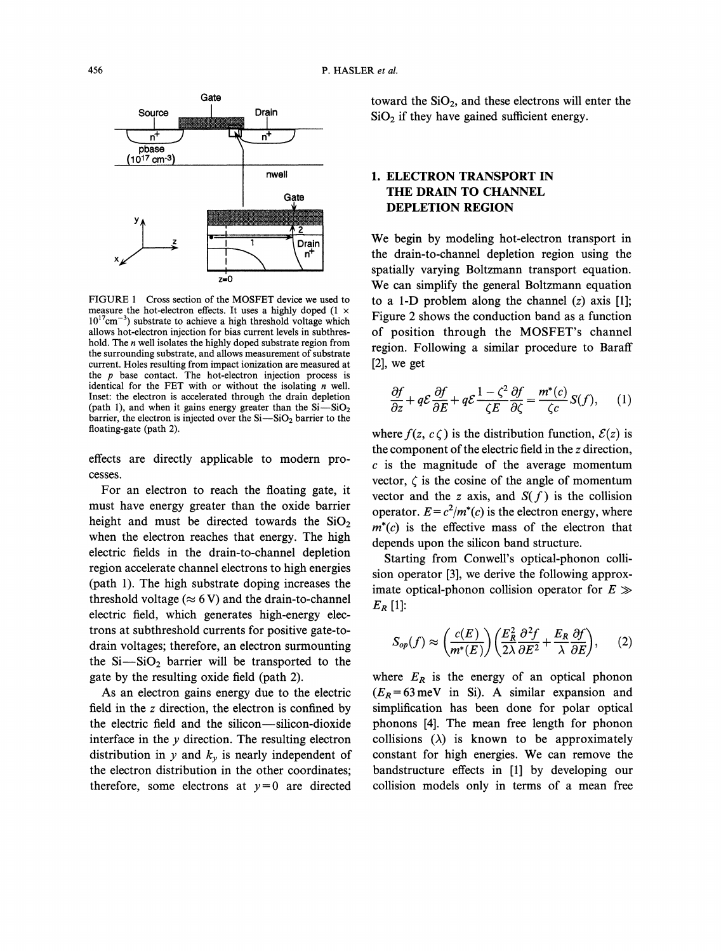

FIGURE 1 Cross section of the MOSFET device we used to measure the hot-electron effects. It uses a highly doped (1  $\times$  $10^{17}$ cm<sup>-3</sup>) substrate to achieve a high threshold voltage which allows hot-electron injection for bias current levels in subthreshold. The n well isolates the highly doped substrate region from the surrounding substrate, and allows measurement of substrate current. Holes resulting from impact ionization are measured at the  $p$  base contact. The hot-electron injection process is identical for the FET with or without the isolating  $n$  well. Inset: the electron is accelerated through the drain depletion (path 1), and when it gains energy greater than the  $Si-SiO<sub>2</sub>$ barrier, the electron is injected over the  $Si-SiO<sub>2</sub>$  barrier to the floating-gate (path 2).

effects are directly applicable to modern processes.

For an electron to reach the floating gate, it must have energy greater than the oxide barrier height and must be directed towards the  $SiO<sub>2</sub>$ when the electron reaches that energy. The high electric fields in the drain-to-channel depletion region accelerate channel electrons to high energies (path 1). The high substrate doping increases the threshold voltage ( $\approx$  6 V) and the drain-to-channel electric field, which generates high-energy electrons at subthreshold currents for positive gate-todrain voltages; therefore, an electron surmounting the  $Si-SiO<sub>2</sub>$  barrier will be transported to the gate by the resulting oxide field (path 2).

As an electron gains energy due to the electric field in the z direction, the electron is confined by the electric field and the silicon-silicon-dioxide interface in the  $y$  direction. The resulting electron distribution in y and  $k_y$  is nearly independent of the electron distribution in the other coordinates; therefore, some electrons at  $y=0$  are directed

toward the  $SiO<sub>2</sub>$ , and these electrons will enter the  $SiO<sub>2</sub>$  if they have gained sufficient energy.

# 1. ELECTRON TRANSPORT IN THE DRAIN TO CHANNEL DEPLETION REGION

We begin by modeling hot-electron transport in the drain-to-channel depletion region using the spatially varying Boltzmann transport equation. We can simplify the general Boltzmann equation to a 1-D problem along the channel  $(z)$  axis [1]; Figure 2 shows the conduction band as a function of position through the MOSFET's channel region. Following a similar procedure to Baraff [2], we get

$$
\frac{\partial f}{\partial z} + q\mathcal{E}\frac{\partial f}{\partial E} + q\mathcal{E}\frac{1-\zeta^2}{\zeta E}\frac{\partial f}{\partial \zeta} = \frac{m^*(c)}{\zeta c}S(f), \qquad (1)
$$

 $\frac{\zeta_c}{\zeta_c} S(f)$ , (1)<br>function,  $\mathcal{E}(z)$  is<br>n the z direction,<br>age momentum where  $f(z, c\zeta)$  is the distribution function,  $\mathcal{E}(z)$  is the component of the electric field in the z direction,  $c$  is the magnitude of the average momentum vector,  $\zeta$  is the cosine of the angle of momentum vector and the z axis, and  $S(f)$  is the collision operator.  $E = c^2/m^*(c)$  is the electron energy, where  $m<sup>*</sup>(c)$  is the effective mass of the electron that depends upon the silicon band structure.

Starting from Conwell's optical-phonon collision operator [3], we derive the following approximate optical-phonon collision operator for  $E \gg$  $E_R$ [1]:

$$
S_{op}(f) \approx \left(\frac{c(E)}{m^*(E)}\right) \left(\frac{E_R^2}{2\lambda} \frac{\partial^2 f}{\partial E^2} + \frac{E_R}{\lambda} \frac{\partial f}{\partial E}\right), \qquad (2)
$$

where  $E_R$  is the energy of an optical phonon  $(E_R = 63 \,\text{meV}$  in Si). A similar expansion and simplification has been done for polar optical phonons [4]. The mean free length for phonon collisions  $(\lambda)$  is known to be approximately constant for high energies. We can remove the bandstructure effects in [1] by developing our collision models only in terms of a mean free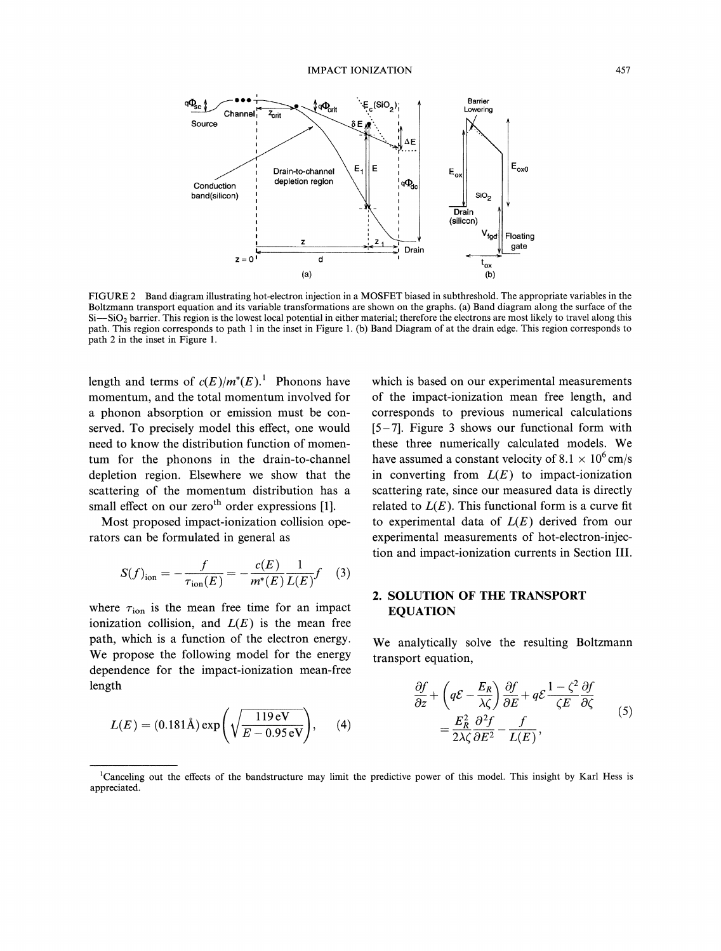

FIGURE <sup>2</sup> Band diagram illustrating hot-electron injection in <sup>a</sup> MOSFET biased in subthreshold. The appropriate variables in the Boltzmann transport equation and its variable transformations are shown on the graphs. (a) Band diagram along the surface of the Si-SiO<sub>2</sub> barrier. This region is the lowest local potential in either material; therefore the electrons are most likely to travel along this path. This region corresponds to path 1 in the inset in Figure 1. (b) Band Diagram of at the drain edge. This region corresponds to path 2 in the inset in Figure 1.

length and terms of  $c(E)/m^*(E)$ . Phonons have momentum, and the total momentum involved for a phonon absorption or emission must be conserved. To precisely model this effect, one would need to know the distribution function of momentum for the phonons in the drain-to-channel depletion region. Elsewhere we show that the scattering of the momentum distribution has a small effect on our zeroth order expressions  $[1]$ .

Most proposed impact-ionization collision operators can be formulated in general as

$$
S(f)_{\text{ion}} = -\frac{f}{\tau_{\text{ion}}(E)} = -\frac{c(E)}{m^*(E)} \frac{1}{L(E)} f \quad (3)
$$

where  $\tau_{\text{ion}}$  is the mean free time for an impact ionization collision, and  $L(E)$  is the mean free path, which is a function of the electron energy. We propose the following model for the energy dependence for the impact-ionization mean-free length

$$
L(E) = (0.181 \text{\AA}) \exp\left(\sqrt{\frac{119 \text{ eV}}{E - 0.95 \text{ eV}}}\right), \quad (4)
$$

which is based on our experimental measurements of the impact-ionization mean free length, and corresponds to previous numerical calculations [5-7]. Figure 3 shows our functional form with these three numerically calculated models. We have assumed a constant velocity of 8.1  $\times$  10<sup>6</sup> cm/s in converting from  $L(E)$  to impact-ionization scattering rate, since our measured data is directly related to  $L(E)$ . This functional form is a curve fit to experimental data of  $L(E)$  derived from our experimental measurements of hot-electron-injection and impact-ionization currents in Section III.

## 2. SOLUTION OF THE TRANSPORT EQUATION

We analytically solve the resulting Boltzmann transport equation,

$$
\frac{\partial f}{\partial z} + \left( q\mathcal{E} - \frac{E_R}{\lambda \zeta} \right) \frac{\partial f}{\partial E} + q\mathcal{E} \frac{1 - \zeta^2}{\zeta E} \frac{\partial f}{\partial \zeta} \n= \frac{E_R^2}{2\lambda \zeta} \frac{\partial^2 f}{\partial E^2} - \frac{f}{L(E)},
$$
\n(5)

<sup>&</sup>lt;sup>1</sup>Canceling out the effects of the bandstructure may limit the predictive power of this model. This insight by Karl Hess is appreciated.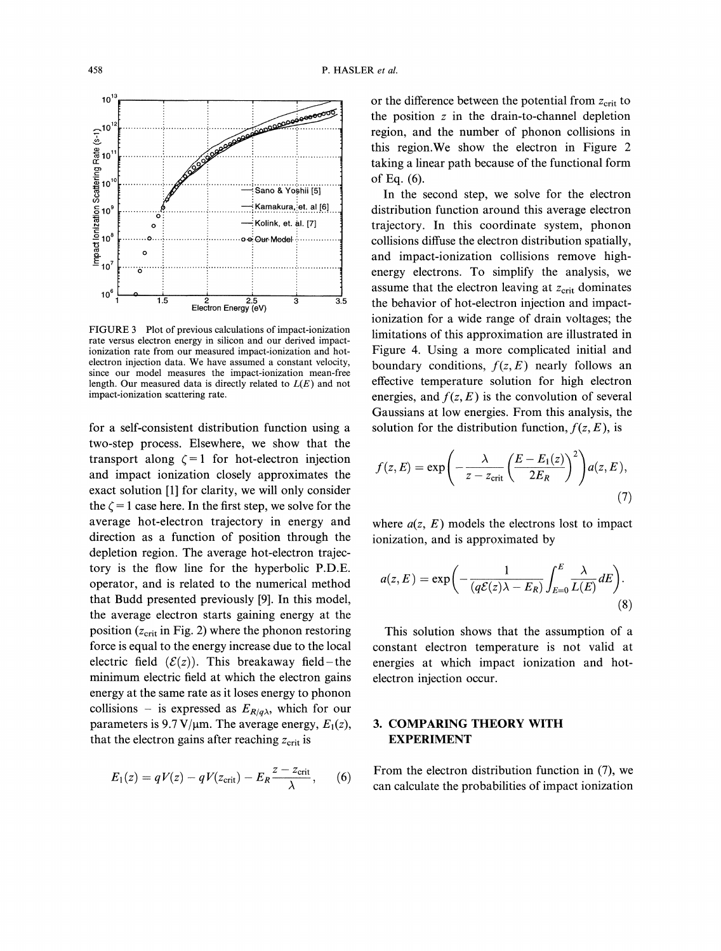

for a self-consistent distribution function using a two-step process. Elsewhere, we show that the transport along  $\zeta = 1$  for hot-electron injection and impact ionization closely approximates the exact solution [1] for clarity, we will only consider the  $\zeta = 1$  case here. In the first step, we solve for the average hot-electron trajectory in energy and direction as a function of position through the depletion region. The average hot-electron trajectory is the flow line for the hyperbolic P.D.E. operator, and is related to the numerical method that Budd presented previously [9]. In this model, the average electron starts gaining energy at the position  $(z<sub>crit</sub>$  in Fig. 2) where the phonon restoring force is equal to the energy increase due to the local electric field  $(\mathcal{E}(z))$ . This breakaway field-the minimum electric field at which the electron gains energy at the same rate as it loses energy to phonon collisions – is expressed as  $E_{R/q\lambda}$ , which for our parameters is 9.7 V/ $\mu$ m. The average energy,  $E_1(z)$ , that the electron gains after reaching  $z_{\text{crit}}$  is

$$
E_1(z) = qV(z) - qV(z_{\text{crit}}) - E_R \frac{z - z_{\text{crit}}}{\lambda}, \qquad (6)
$$

or the difference between the potential from  $z_{\text{crit}}$  to the position  $z$  in the drain-to-channel depletion region, and the number of phonon collisions in this region.We show the electron in Figure 2 taking a linear path because of the functional form of Eq. (6).

In the second step, we solve for the electron distribution function around this average electron trajectory. In this coordinate system, phonon collisions diffuse the electron distribution spatially, and impact-ionization collisions remove highenergy electrons. To simplify the analysis, we assume that the electron leaving at  $z_{\text{crit}}$  dominates the behavior of hot-electron injection and impactionization for a wide range of drain voltages; the limitations of this approximation are illustrated in Figure 4. Using a more complicated initial and boundary conditions,  $f(z, E)$  nearly follows an effective temperature solution for high electron energies, and  $f(z, E)$  is the convolution of several Gaussians at low energies. From this analysis, the solution for the distribution function,  $f(z, E)$ , is

$$
f(z, E) = \exp\left(-\frac{\lambda}{z - z_{\text{crit}}} \left(\frac{E - E_1(z)}{2E_R}\right)^2\right) a(z, E),\tag{7}
$$

where  $a(z, E)$  models the electrons lost to impact ionization, and is approximated by

$$
a(z, E) = \exp\bigg(-\frac{1}{(q\mathcal{E}(z)\lambda - E_R)} \int_{E=0}^{E} \frac{\lambda}{L(E)} dE\bigg). \tag{8}
$$

This solution shows that the assumption of a constant electron temperature is not valid at energies at which impact ionization and hotelectron injection occur.

### 3. COMPARING THEORY WITH EXPERIMENT

From the electron distribution function in (7), we can calculate the probabilities of impact ionization

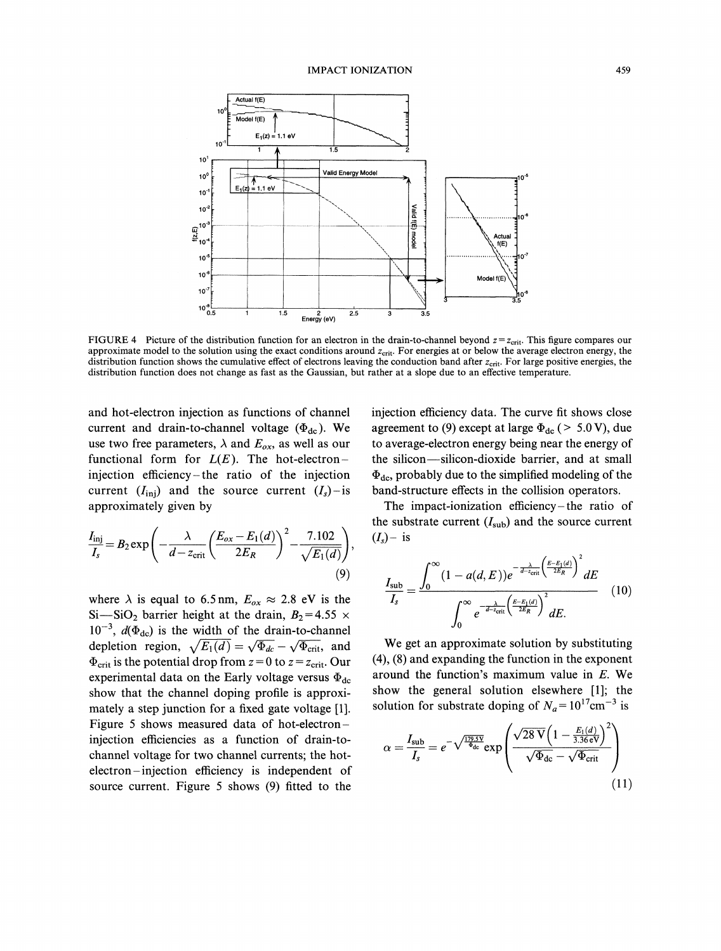

FIGURE 4 Picture of the distribution function for an electron in the drain-to-channel beyond  $z = z_{\text{crit}}$ . This figure compares our approximate model to the solution using the exact conditions around  $z_{\text{crit}}$ . For energies at or below the average electron energy, the distribution function shows the cumulative effect of electrons leaving the conduction band after  $z_{\text{crit}}$ . For large positive energies, the distribution function does not change as fast as the Gaussian, but rather at a slope due to an effective temperature.

and hot-electron injection as functions of channel current and drain-to-channel voltage  $(\Phi_{dc})$ . We use two free parameters,  $\lambda$  and  $E_{ox}$ , as well as our functional form for  $L(E)$ . The hot-electroninjection efficiency-the ratio of the injection current  $(I_{\text{inj}})$  and the source current  $(I_s)$ -is approximately given by

$$
\frac{I_{\text{inj}}}{I_s} = B_2 \exp\left(-\frac{\lambda}{d - z_{\text{crit}}} \left(\frac{E_{ox} - E_1(d)}{2E_R}\right)^2 - \frac{7.102}{\sqrt{E_1(d)}}\right),\tag{9}
$$

where  $\lambda$  is equal to 6.5 nm,  $E_{ox} \approx 2.8$  eV is the Si-SiO<sub>2</sub> barrier height at the drain,  $B_2=4.55 \times$  $10^{-3}$ ,  $d(\Phi_{dc})$  is the width of the drain-to-channel depletion region,  $\sqrt{E_1(d)} = \sqrt{\Phi_{dc}} - \sqrt{\Phi_{crit}}$ , and  $\Phi_{\text{crit}}$  is the potential drop from  $z = 0$  to  $z = z_{\text{crit}}$ . Our experimental data on the Early voltage versus  $\Phi_{dc}$ show that the channel doping profile is approximately a step junction for a fixed gate voltage [1]. Figure 5 shows measured data of hot-electroninjection efficiencies as a function of drain-tochannel voltage for two channel currents; the hotelectron-injection efficiency is independent of source current. Figure 5 shows (9) fitted to the

injection efficiency data. The curve fit shows close agreement to (9) except at large  $\Phi_{dc}$  ( > 5.0 V), due to average-electron energy being near the energy of the silicon-silicon-dioxide barrier, and at small  $\Phi_{\text{dc}}$ , probably due to the simplified modeling of the band-structure effects in the collision operators.

The impact-ionization efficiency-the ratio of the substrate current  $(I_{sub})$  and the source current  $(I_s)$ - is

$$
\frac{I_{\text{sub}}}{I_s} = \frac{\int_0^\infty (1 - a(d, E)) e^{-\frac{\lambda}{d - z_{\text{crit}}}\left(\frac{E - E_1(d)}{2E_R}\right)^2} dE}{\int_0^\infty e^{-\frac{\lambda}{d - z_{\text{crit}}}\left(\frac{E - E_1(d)}{2E_R}\right)^2} dE} \quad (10)
$$

We get an approximate solution by substituting (4), (8) and expanding the function in the exponent around the function's maximum value in E. We show the general solution elsewhere [1]; the solution for substrate doping of  $N_a = 10^{17} \text{cm}^{-3}$  is

$$
\alpha = \frac{I_{\text{sub}}}{I_s} = e^{-\sqrt{\frac{179.5\text{V}}{4_{\text{dc}}}}}\exp\left(\frac{\sqrt{28\,\text{V}}\left(1 - \frac{E_1(d)}{3.36\,\text{eV}}\right)^2}{\sqrt{\Phi_{\text{dc}}}-\sqrt{\Phi_{\text{crit}}}}\right)
$$
(11)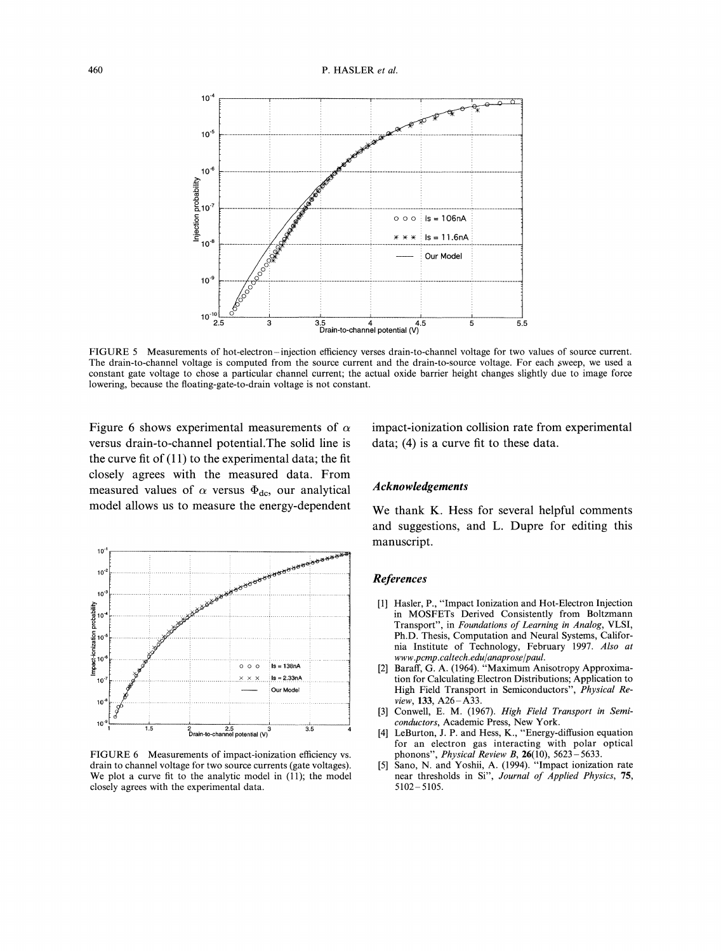

FIGURE <sup>5</sup> Measurements of hot-electron-injection efficiency verses drain-to-channel voltage for two values of source current. The drain-to-channel voltage is computed from the source current and the drain-to-source voltage. For each sweep, we used a constant gate voltage to chose a particular channel current; the actual oxide barrier height changes slightly due to image force lowering, because the floating-gate-to-drain voltage is not constant.

Figure 6 shows experimental measurements of  $\alpha$ versus drain-to-channel potential.The solid line is the curve fit of  $(11)$  to the experimental data; the fit closely agrees with the measured data. From measured values of  $\alpha$  versus  $\Phi_{dc}$ , our analytical model allows us to measure the energy-dependent



FIGURE <sup>6</sup> Measurements of impact-ionization efficiency vs. drain to channel voltage for two source currents (gate voltages). We plot a curve fit to the analytic model in  $(11)$ ; the model closely agrees with the experimental data.

impact-ionization collision rate from experimental data; (4) is a curve fit to these data.

#### Acknowledgements

We thank K. Hess for several helpful comments and suggestions, and L. Dupre for editing this manuscript.

#### References

- [1] Hasler, P., "Impact Ionization and Hot-Electron Injection in MOSFETs Derived Consistently from Boltzmann Transport", in Foundations of Learning in Analog, VLSI, Ph.D. Thesis, Computation and Neural Systems, California Institute of Technology, February 1997. Also at www.pcmp.caltech.edu/anaprose/paul.
- [2] Baraff, G. A. (1964). "Maximum Anisotropy Approximation for Calculating Electron Distributions; Application to High Field Transport in Semiconductors", Physical Review, 133, A26-A33.
- [3] Conwell, E. M. (1967). High Field Transport in Semiconductors, Academic Press, New York.
- [4] LeBurton, J. P. and Hess, K., "Energy-diffusion equation for an electron gas interacting with polar optical phonons", *Physical Review B*,  $26(10)$ ,  $5623 - 5633$ .
- [5] Sano, N. and Yoshii, A. (1994). "Impact ionization rate near thresholds in Si", Journal of Applied Physics, 75, 5102-5105.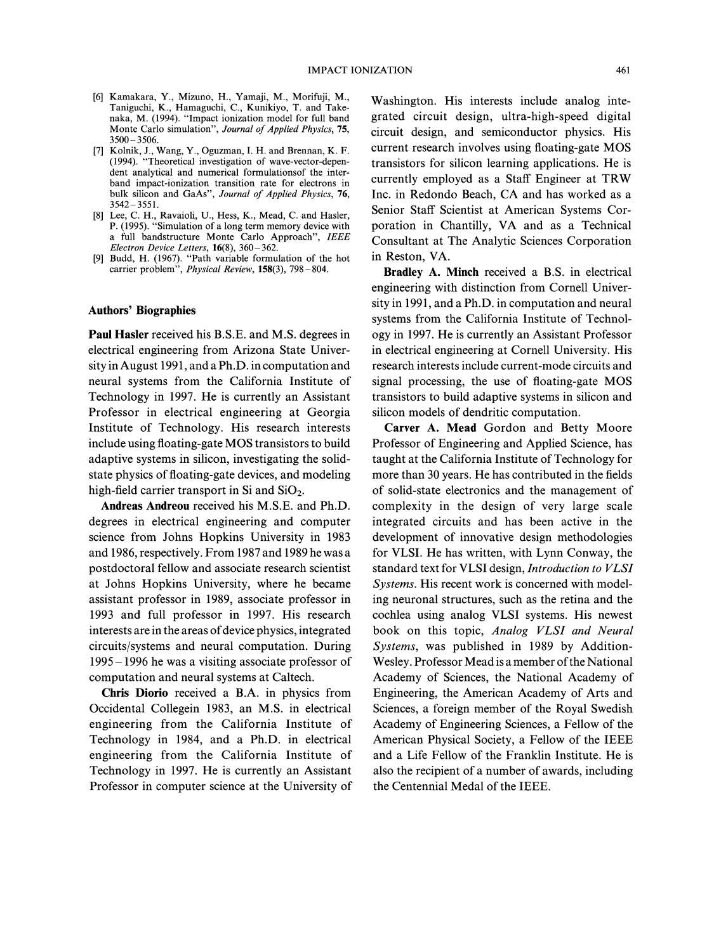- [6] Kamakara, Y., Mizuno, H., Yamaji, M., Morifuji, M., Taniguchi, K., Hamaguchi, C., Kunikiyo, T. and Take naka, M. (1994). "Impact ionization model for full band Monte Carlo simulation", Journal of Applied Physics, 75, 3500 3506.
- [7] Kolnik, J., Wang, Y., Oguzman, I. H. and Brennan, K. F. (1994). "Theoretical investigation of wave-vector-dependent analytical and numerical formulationsof the interband impact-ionization transition rate for electrons in bulk silicon and GaAs", Journal of Applied Physics, 76, 3542-3551.
- [8] Lee, C. H., Ravaioli, U., Hess, K., Mead, C. and Hasler, P. (1995). "Simulation of a long term memory device with a full bandstructure Monte Carlo Approach", IEEE Electron Device Letters, 16(8), 360-362.
- [9] Budd, H. (1967). "Path variable formulation of the hot carrier problem", Physical Review, 158(3), 798-804.

#### Authors' Biographies

Paul Hasler received his B.S.E. and M.S. degrees in electrical engineering from Arizona State University in August 1991, and a Ph.D. in computation and neural systems from the California Institute of Technology in 1997. He is currently an Assistant Professor in electrical engineering at Georgia Institute of Technology. His research interests include using floating-gate MOS transistors to build adaptive systems in silicon, investigating the solidstate physics of floating-gate devices, and modeling high-field carrier transport in Si and  $SiO<sub>2</sub>$ .

Andreas Andreou received his M.S.E. and Ph.D. degrees in electrical engineering and computer science from Johns Hopkins University in 1983 and 1986, respectively. From 1987 and 1989 he was a postdoctoral fellow and associate research scientist at Johns Hopkins University, where he became assistant professor in 1989, associate professor in 1993 and full professor in 1997. His research interests are in the areas of device physics, integrated circuits/systems and neural computation. During 1995-1996 he was a visiting associate professor of computation and neural systems at Caltech.

Chris Diorio received a B.A. in physics from Occidental Collegein 1983, an M.S. in electrical engineering from the California Institute of Technology in 1984, and a Ph.D. in electrical engineering from the California Institute of Technology in 1997. He is currently an Assistant Professor in computer science at the University of

Washington. His interests include analog integrated circuit design, ultra-high-speed digital circuit design, and semiconductor physics. His current research involves using floating-gate MOS transistors for silicon learning applications. He is currently employed as <sup>a</sup> Staff Engineer at TRW Inc. in Redondo Beach, CA and has worked as <sup>a</sup> Senior Staff Scientist at American Systems Corporation in Chantilly, VA and as <sup>a</sup> Technical Consultant at The Analytic Sciences Corporation in Reston, VA.

Bradley A. Minch received a B.S. in electrical engineering with distinction from Cornell University in 1991, and a Ph.D. in computation and neural systems from the California Institute of Technology in 1997. He is currently an Assistant Professor in electrical engineering at Cornell University. His research interests include current-mode circuits and signal processing, the use of floating-gate MOS transistors to build adaptive systems in silicon and silicon models of dendritic computation.

Carver A. Mead Gordon and Betty Moore Professor of Engineering and Applied Science, has taught at the California Institute of Technology for more than 30 years. He has contributed in the fields of solid-state electronics and the management of complexity in the design of very large scale integrated circuits and has been active in the development of innovative design methodologies for VLSI. He has written, with Lynn Conway, the standard text for VLSI design, Introduction to VLSI Systems. His recent work is concerned with modeling neuronal structures, such as the retina and the cochlea using analog VLSI systems. His newest book on this topic, Analog VLSI and Neural Systems, was published in 1989 by Addition-Wesley. Professor Mead is a member of the National Academy of Sciences, the National Academy of Engineering, the American Academy of Arts and Sciences, a foreign member of the Royal Swedish Academy of Engineering Sciences, a Fellow of the American Physical Society, a Fellow of the IEEE and a Life Fellow of the Franklin Institute. He is also the recipient of a number of awards, including the Centennial Medal of the IEEE.